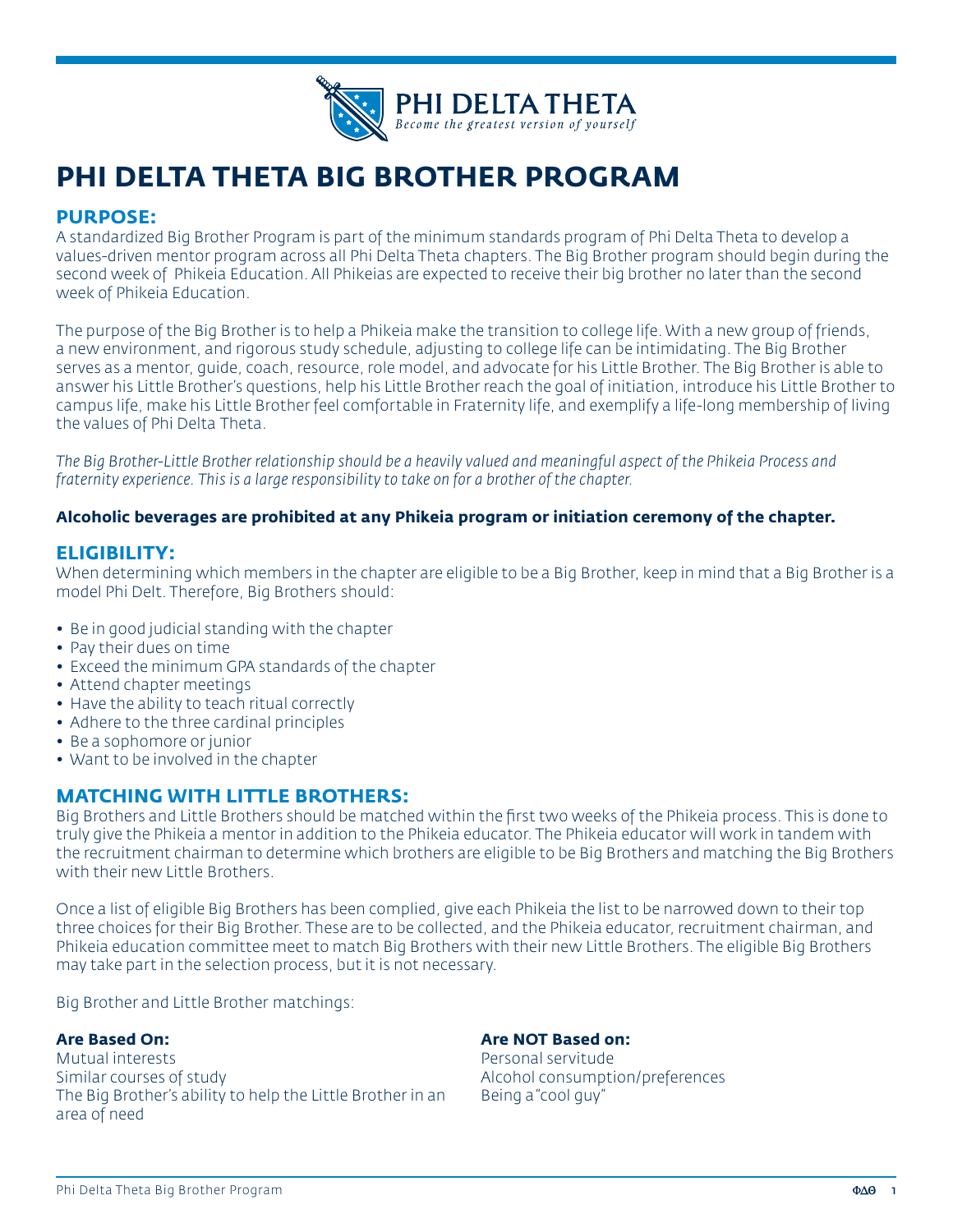

# **PHI DELTA THETA BIG BROTHER PROGRAM**

# **PURPOSE:**

A standardized Big Brother Program is part of the minimum standards program of Phi Delta Theta to develop a values-driven mentor program across all Phi Delta Theta chapters. The Big Brother program should begin during the second week of Phikeia Education. All Phikeias are expected to receive their big brother no later than the second week of Phikeia Education.

The purpose of the Big Brother is to help a Phikeia make the transition to college life. With a new group of friends, a new environment, and rigorous study schedule, adjusting to college life can be intimidating. The Big Brother serves as a mentor, guide, coach, resource, role model, and advocate for his Little Brother. The Big Brother is able to answer his Little Brother's questions, help his Little Brother reach the goal of initiation, introduce his Little Brother to campus life, make his Little Brother feel comfortable in Fraternity life, and exemplify a life-long membership of living the values of Phi Delta Theta.

*The Big Brother-Little Brother relationship should be a heavily valued and meaningful aspect of the Phikeia Process and fraternity experience. This is a large responsibility to take on for a brother of the chapter.*

#### **Alcoholic beverages are prohibited at any Phikeia program or initiation ceremony of the chapter.**

# **ELIGIBILITY:**

When determining which members in the chapter are eligible to be a Big Brother, keep in mind that a Big Brother is a model Phi Delt. Therefore, Big Brothers should:

- Be in good judicial standing with the chapter
- Pay their dues on time
- Exceed the minimum GPA standards of the chapter
- Attend chapter meetings
- Have the ability to teach ritual correctly
- Adhere to the three cardinal principles
- Be a sophomore or junior
- Want to be involved in the chapter

# **MATCHING WITH LITTLE BROTHERS:**

Big Brothers and Little Brothers should be matched within the first two weeks of the Phikeia process. This is done to truly give the Phikeia a mentor in addition to the Phikeia educator. The Phikeia educator will work in tandem with the recruitment chairman to determine which brothers are eligible to be Big Brothers and matching the Big Brothers with their new Little Brothers.

Once a list of eligible Big Brothers has been complied, give each Phikeia the list to be narrowed down to their top three choices for their Big Brother. These are to be collected, and the Phikeia educator, recruitment chairman, and Phikeia education committee meet to match Big Brothers with their new Little Brothers. The eligible Big Brothers may take part in the selection process, but it is not necessary.

Big Brother and Little Brother matchings:

#### **Are Based On:**

Mutual interests Similar courses of study The Big Brother's ability to help the Little Brother in an area of need

# **Are NOT Based on:**

Personal servitude Alcohol consumption/preferences Being a "cool guy"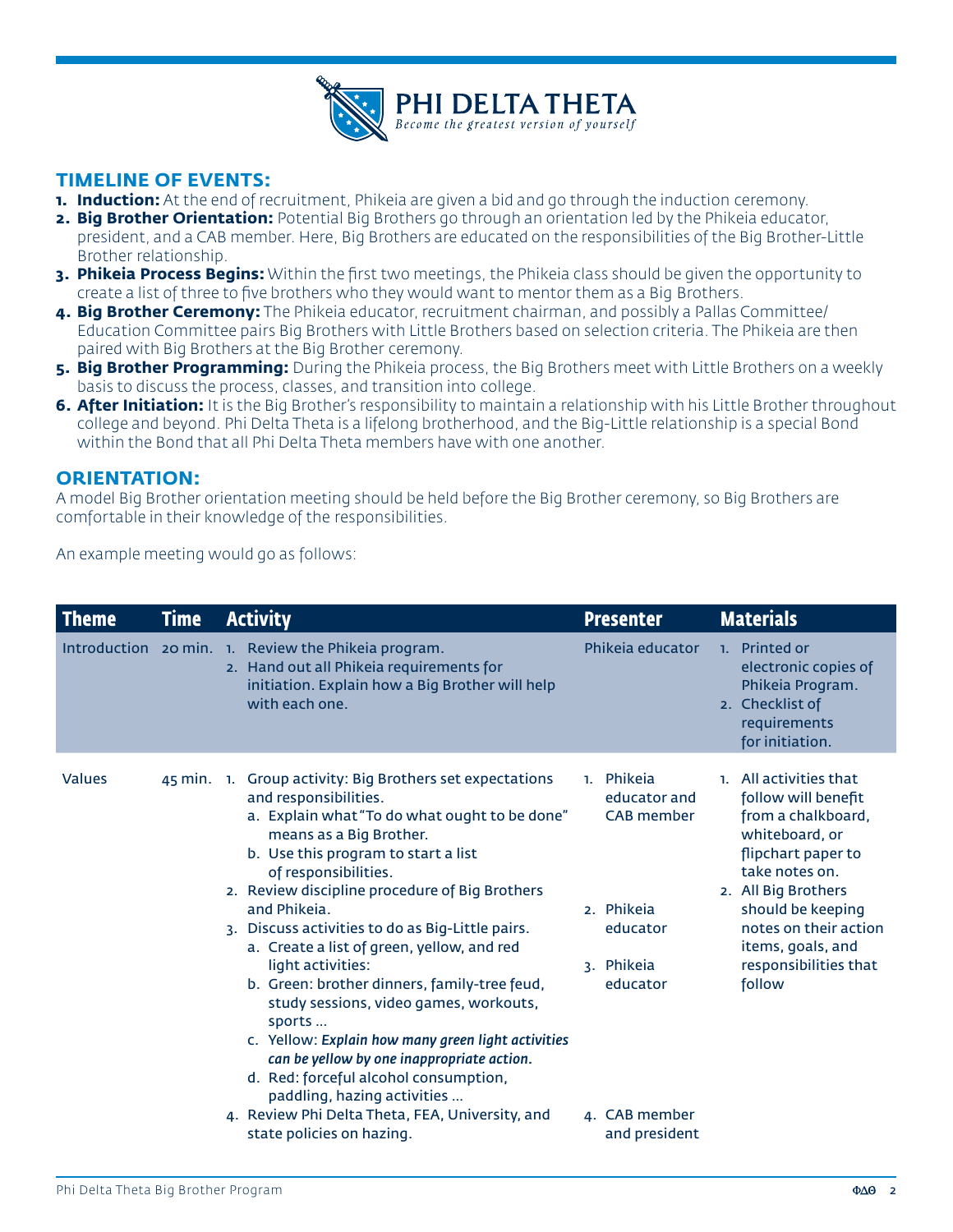

# **TIMELINE OF EVENTS:**

- **1. Induction:** At the end of recruitment, Phikeia are given a bid and go through the induction ceremony.
- **2. Big Brother Orientation:** Potential Big Brothers go through an orientation led by the Phikeia educator, president, and a CAB member. Here, Big Brothers are educated on the responsibilities of the Big Brother-Little Brother relationship.
- **3. Phikeia Process Begins:** Within the first two meetings, the Phikeia class should be given the opportunity to create a list of three to five brothers who they would want to mentor them as a Big Brothers.
- **4. Big Brother Ceremony:** The Phikeia educator, recruitment chairman, and possibly a Pallas Committee/ Education Committee pairs Big Brothers with Little Brothers based on selection criteria. The Phikeia are then paired with Big Brothers at the Big Brother ceremony.
- **5. Big Brother Programming:** During the Phikeia process, the Big Brothers meet with Little Brothers on a weekly basis to discuss the process, classes, and transition into college.
- **6. After Initiation:** It is the Big Brother's responsibility to maintain a relationship with his Little Brother throughout college and beyond. Phi Delta Theta is a lifelong brotherhood, and the Big-Little relationship is a special Bond within the Bond that all Phi Delta Theta members have with one another.

# **ORIENTATION:**

A model Big Brother orientation meeting should be held before the Big Brother ceremony, so Big Brothers are comfortable in their knowledge of the responsibilities.

An example meeting would go as follows:

| <b>Theme</b>  | <b>Time</b> | <b>Activity</b>                                                                                                                                                                                                                                                                                                                                                                                                                                                                                                                                                                                                                                                                                                                                                                       | <b>Presenter</b>                                                                                                                      | <b>Materials</b>                                                                                                                                                                                                                                           |
|---------------|-------------|---------------------------------------------------------------------------------------------------------------------------------------------------------------------------------------------------------------------------------------------------------------------------------------------------------------------------------------------------------------------------------------------------------------------------------------------------------------------------------------------------------------------------------------------------------------------------------------------------------------------------------------------------------------------------------------------------------------------------------------------------------------------------------------|---------------------------------------------------------------------------------------------------------------------------------------|------------------------------------------------------------------------------------------------------------------------------------------------------------------------------------------------------------------------------------------------------------|
|               |             | Introduction 20 min. 1. Review the Phikeia program.<br>2. Hand out all Phikeia requirements for<br>initiation. Explain how a Big Brother will help<br>with each one.                                                                                                                                                                                                                                                                                                                                                                                                                                                                                                                                                                                                                  | Phikeja educator                                                                                                                      | 1. Printed or<br>electronic copies of<br>Phikeia Program.<br>2. Checklist of<br>requirements<br>for initiation.                                                                                                                                            |
| <b>Values</b> |             | 45 min. 1. Group activity: Big Brothers set expectations<br>and responsibilities.<br>a. Explain what "To do what ought to be done"<br>means as a Big Brother.<br>b. Use this program to start a list<br>of responsibilities.<br>2. Review discipline procedure of Big Brothers<br>and Phikeia.<br>3. Discuss activities to do as Big-Little pairs.<br>a. Create a list of green, yellow, and red<br>light activities:<br>b. Green: brother dinners, family-tree feud,<br>study sessions, video games, workouts,<br>sports<br>c. Yellow: Explain how many green light activities<br>can be yellow by one inappropriate action.<br>d. Red: forceful alcohol consumption,<br>paddling, hazing activities<br>4. Review Phi Delta Theta, FEA, University, and<br>state policies on hazing. | 1. Phikeia<br>educator and<br><b>CAB</b> member<br>2. Phikeia<br>educator<br>3. Phikeia<br>educator<br>4. CAB member<br>and president | 1. All activities that<br>follow will benefit<br>from a chalkboard,<br>whiteboard, or<br>flipchart paper to<br>take notes on.<br>2. All Big Brothers<br>should be keeping<br>notes on their action<br>items, goals, and<br>responsibilities that<br>follow |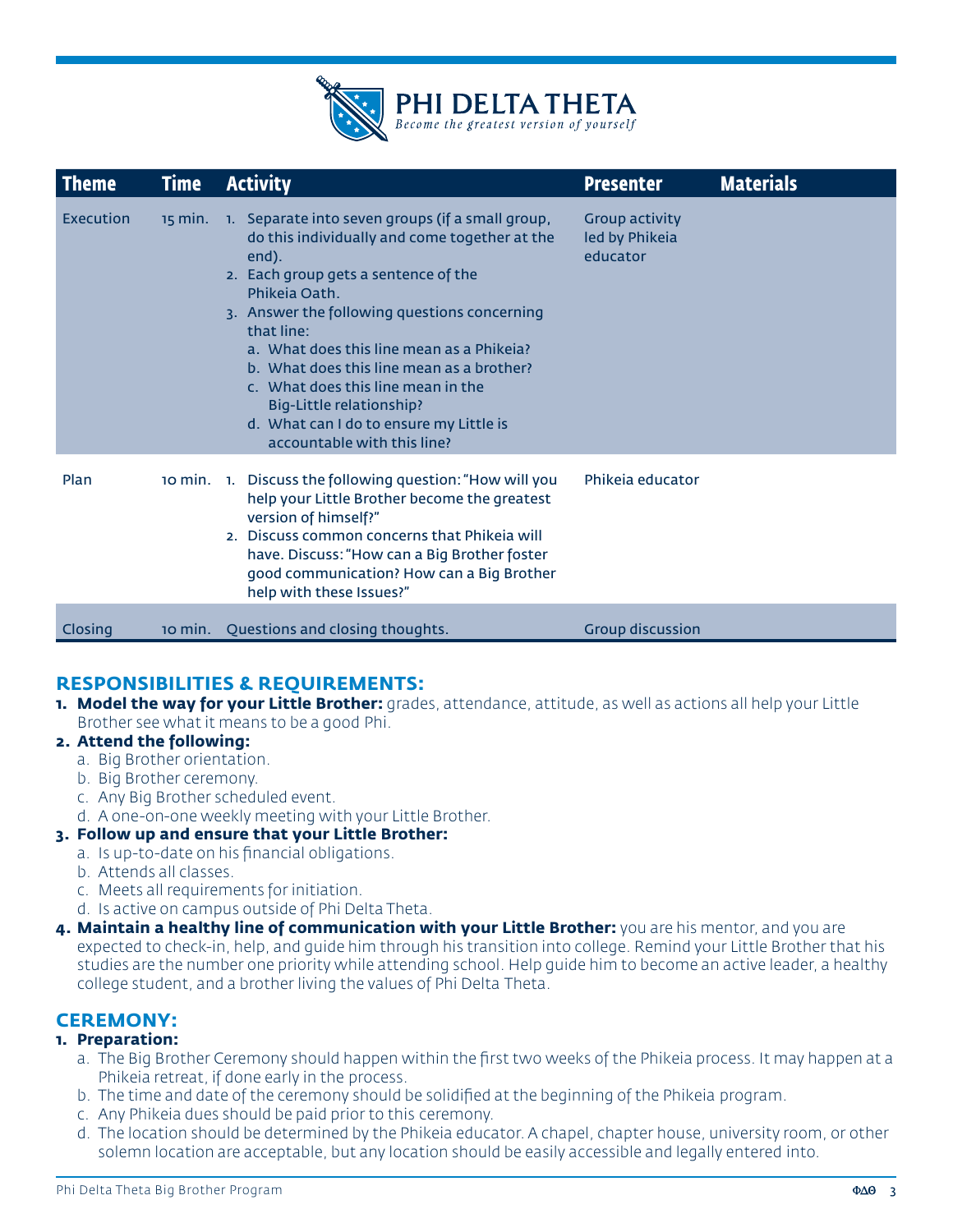

| <b>Theme</b> | <b>Time</b> | <b>Activity</b>                                                                                                                                                                                                                                                                                                                                                                                                                                                                        | <b>Presenter</b>                                    | <b>Materials</b> |
|--------------|-------------|----------------------------------------------------------------------------------------------------------------------------------------------------------------------------------------------------------------------------------------------------------------------------------------------------------------------------------------------------------------------------------------------------------------------------------------------------------------------------------------|-----------------------------------------------------|------------------|
| Execution    |             | 15 min. 1. Separate into seven groups (if a small group,<br>do this individually and come together at the<br>end).<br>2. Each group gets a sentence of the<br>Phikeja Oath.<br>3. Answer the following questions concerning<br>that line:<br>a. What does this line mean as a Phikeia?<br>b. What does this line mean as a brother?<br>c. What does this line mean in the<br><b>Big-Little relationship?</b><br>d. What can I do to ensure my Little is<br>accountable with this line? | <b>Group activity</b><br>led by Phikeia<br>educator |                  |
| Plan         |             | 10 min. 1. Discuss the following question: "How will you<br>help your Little Brother become the greatest<br>version of himself?"<br>2. Discuss common concerns that Phikeia will<br>have. Discuss: "How can a Big Brother foster<br>good communication? How can a Big Brother<br>help with these Issues?"                                                                                                                                                                              | Phikeja educator                                    |                  |
| Closing      | $10$ min.   | Questions and closing thoughts.                                                                                                                                                                                                                                                                                                                                                                                                                                                        | <b>Group discussion</b>                             |                  |

# **RESPONSIBILITIES & REQUIREMENTS:**

**1. Model the way for your Little Brother:** grades, attendance, attitude, as well as actions all help your Little Brother see what it means to be a good Phi.

#### **2. Attend the following:**

- a. Big Brother orientation.
- b. Big Brother ceremony.
- c. Any Big Brother scheduled event.
- d. A one-on-one weekly meeting with your Little Brother.

# **3. Follow up and ensure that your Little Brother:**

- a. Is up-to-date on his financial obligations.
- b. Attends all classes.
- c. Meets all requirements for initiation.
- d. Is active on campus outside of Phi Delta Theta.
- **4. Maintain a healthy line of communication with your Little Brother:** you are his mentor, and you are expected to check-in, help, and guide him through his transition into college. Remind your Little Brother that his studies are the number one priority while attending school. Help guide him to become an active leader, a healthy college student, and a brother living the values of Phi Delta Theta.

# **CEREMONY:**

# **1. Preparation:**

- a. The Big Brother Ceremony should happen within the first two weeks of the Phikeia process. It may happen at a Phikeia retreat, if done early in the process.
- b. The time and date of the ceremony should be solidified at the beginning of the Phikeia program.
- c. Any Phikeia dues should be paid prior to this ceremony.
- d. The location should be determined by the Phikeia educator. A chapel, chapter house, university room, or other solemn location are acceptable, but any location should be easily accessible and legally entered into.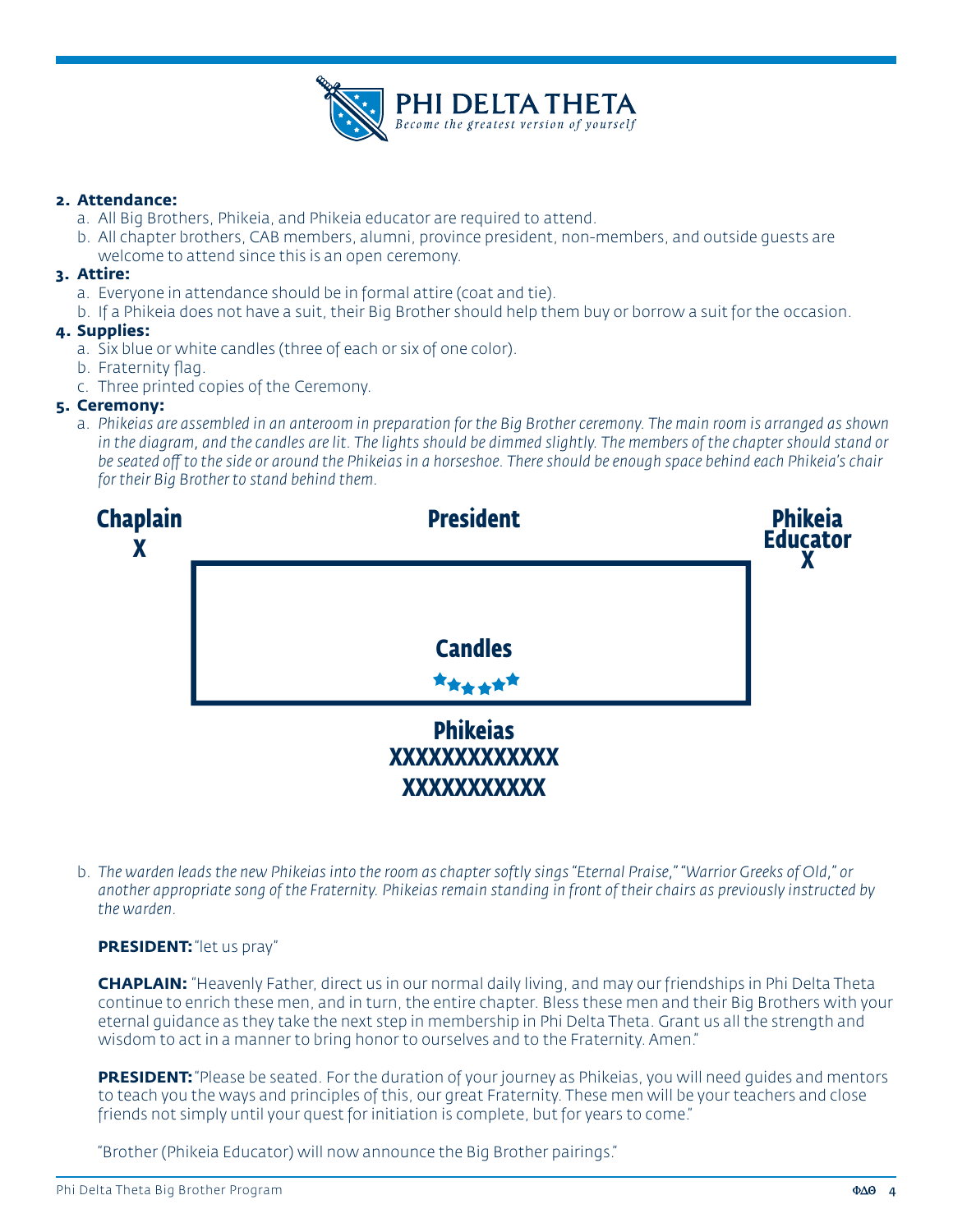

#### **2. Attendance:**

- a. All Big Brothers, Phikeia, and Phikeia educator are required to attend.
- b. All chapter brothers, CAB members, alumni, province president, non-members, and outside guests are welcome to attend since this is an open ceremony.

#### **3. Attire:**

- a. Everyone in attendance should be in formal attire (coat and tie).
- b. If a Phikeia does not have a suit, their Big Brother should help them buy or borrow a suit for the occasion.

#### **4. Supplies:**

- a. Six blue or white candles (three of each or six of one color).
- b. Fraternity flag.
- c. Three printed copies of the Ceremony.

#### **5. Ceremony:**

a. *Phikeias are assembled in an anteroom in preparation for the Big Brother ceremony. The main room is arranged as shown in the diagram, and the candles are lit. The lights should be dimmed slightly. The members of the chapter should stand or be seated off to the side or around the Phikeias in a horseshoe. There should be enough space behind each Phikeia's chair for their Big Brother to stand behind them.* 



b. *The warden leads the new Phikeias into the room as chapter softly sings "Eternal Praise," "Warrior Greeks of Old," or another appropriate song of the Fraternity. Phikeias remain standing in front of their chairs as previously instructed by the warden.* 

#### **PRESIDENT:** "let us pray"

**CHAPLAIN:** "Heavenly Father, direct us in our normal daily living, and may our friendships in Phi Delta Theta continue to enrich these men, and in turn, the entire chapter. Bless these men and their Big Brothers with your eternal guidance as they take the next step in membership in Phi Delta Theta. Grant us all the strength and wisdom to act in a manner to bring honor to ourselves and to the Fraternity. Amen."

**PRESIDENT:** "Please be seated. For the duration of your journey as Phikeias, you will need quides and mentors to teach you the ways and principles of this, our great Fraternity. These men will be your teachers and close friends not simply until your quest for initiation is complete, but for years to come."

"Brother (Phikeia Educator) will now announce the Big Brother pairings."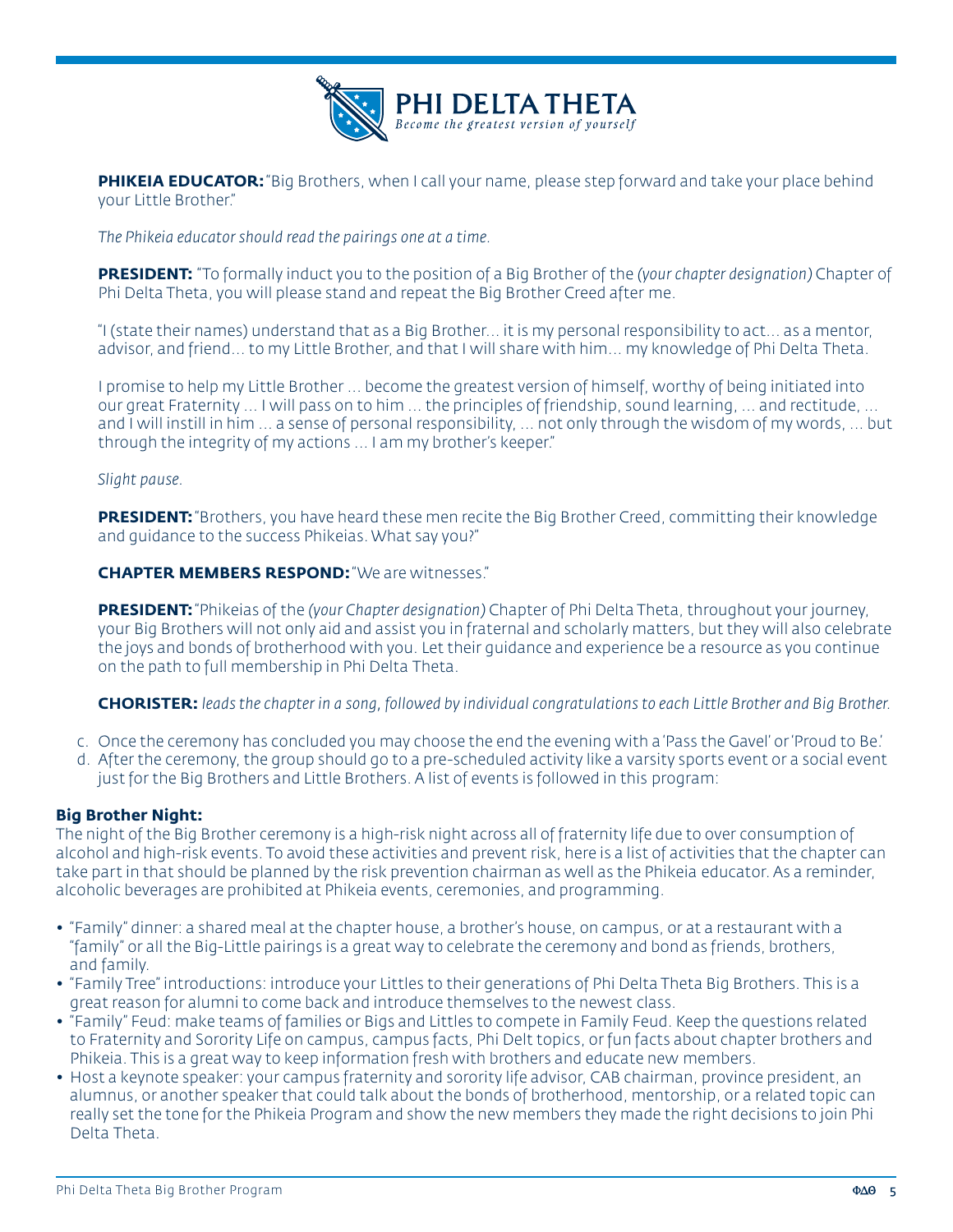

**PHIKEIA EDUCATOR:** "Big Brothers, when I call your name, please step forward and take your place behind your Little Brother."

*The Phikeia educator should read the pairings one at a time.*

**PRESIDENT:** "To formally induct you to the position of a Big Brother of the *(your chapter designation)* Chapter of Phi Delta Theta, you will please stand and repeat the Big Brother Creed after me.

"I (state their names) understand that as a Big Brother... it is my personal responsibility to act... as a mentor, advisor, and friend... to my Little Brother, and that I will share with him... my knowledge of Phi Delta Theta.

I promise to help my Little Brother ... become the greatest version of himself, worthy of being initiated into our great Fraternity ... I will pass on to him ... the principles of friendship, sound learning, ... and rectitude, ... and I will instill in him ... a sense of personal responsibility, ... not only through the wisdom of my words, ... but through the integrity of my actions ... I am my brother's keeper."

#### *Slight pause.*

**PRESIDENT:** "Brothers, you have heard these men recite the Big Brother Creed, committing their knowledge and guidance to the success Phikeias. What say you?"

**CHAPTER MEMBERS RESPOND:** "We are witnesses."

**PRESIDENT:** "Phikeias of the *(your Chapter designation)* Chapter of Phi Delta Theta, throughout your journey, your Big Brothers will not only aid and assist you in fraternal and scholarly matters, but they will also celebrate the joys and bonds of brotherhood with you. Let their guidance and experience be a resource as you continue on the path to full membership in Phi Delta Theta.

**CHORISTER:** *leads the chapter in a song, followed by individual congratulations to each Little Brother and Big Brother.*

- c. Once the ceremony has concluded you may choose the end the evening with a 'Pass the Gavel' or 'Proud to Be.'
- d. After the ceremony, the group should go to a pre-scheduled activity like a varsity sports event or a social event just for the Big Brothers and Little Brothers. A list of events is followed in this program:

#### **Big Brother Night:**

The night of the Big Brother ceremony is a high-risk night across all of fraternity life due to over consumption of alcohol and high-risk events. To avoid these activities and prevent risk, here is a list of activities that the chapter can take part in that should be planned by the risk prevention chairman as well as the Phikeia educator. As a reminder, alcoholic beverages are prohibited at Phikeia events, ceremonies, and programming.

- "Family" dinner: a shared meal at the chapter house, a brother's house, on campus, or at a restaurant with a "family" or all the Big-Little pairings is a great way to celebrate the ceremony and bond as friends, brothers, and family.
- "Family Tree" introductions: introduce your Littles to their generations of Phi Delta Theta Big Brothers. This is a great reason for alumni to come back and introduce themselves to the newest class.
- "Family" Feud: make teams of families or Bigs and Littles to compete in Family Feud. Keep the questions related to Fraternity and Sorority Life on campus, campus facts, Phi Delt topics, or fun facts about chapter brothers and Phikeia. This is a great way to keep information fresh with brothers and educate new members.
- Host a keynote speaker: your campus fraternity and sorority life advisor, CAB chairman, province president, an alumnus, or another speaker that could talk about the bonds of brotherhood, mentorship, or a related topic can really set the tone for the Phikeia Program and show the new members they made the right decisions to join Phi Delta Theta.